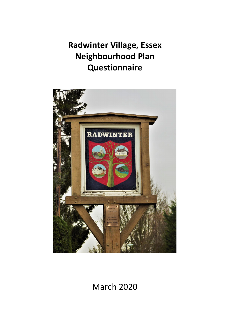**Radwinter Village, Essex Neighbourhood Plan Questionnaire**



March 2020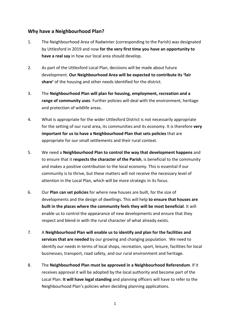# **Why have a Neighbourhood Plan?**

- 1. The Neighbourhood Area of Radwinter (corresponding to the Parish) was designated by Uttlesford in 2019 and now **for the very first time you have an opportunity to have a real say** in how our local area should develop.
- 2. As part of the Uttlesford Local Plan, decisions will be made about future development. **Our Neighbourhood Area will be expected to contribute its 'fair share'** of the housing and other needs identified for the district.
- 3. The **Neighbourhood Plan will plan for housing, employment, recreation and a range of community uses**. Further policies will deal with the environment, heritage and protection of wildlife areas.
- 4. What is appropriate for the wider Uttlesford District is not necessarily appropriate for the setting of our rural area, its communities and its economy. It is therefore **very important for us to have a Neighbourhood Plan that sets policies** that are appropriate for our small settlements and their rural context.
- 5. We need a **Neighbourhood Plan to control the way that development happens** and to ensure that it **respects the character of the Parish**, is beneficial to the community and makes a positive contribution to the local economy. This is essential if our community is to thrive, but these matters will not receive the necessary level of attention in the Local Plan, which will be more strategic in its focus.
- 6. Our **Plan can set policies** for where new houses are built, for the size of developments and the design of dwellings. This will help **to ensure that houses are built in the places where the community feels they will be most beneficial**. It will enable us to control the appearance of new developments and ensure that they respect and blend in with the rural character of what already exists.
- 7. A **Neighbourhood Plan will enable us to identify and plan for the facilities and services that are needed** by our growing and changing population. We need to identify our needs in terms of local shops, recreation, sport, leisure, facilities for local businesses, transport, road safety, and our rural environment and heritage.
- 8. The **Neighbourhood Plan must be approved in a Neighbourhood Referendum**. If it receives approval it will be adopted by the local authority and become part of the Local Plan. **It will have legal standing** and planning officers will have to refer to the Neighbourhood Plan's policies when deciding planning applications.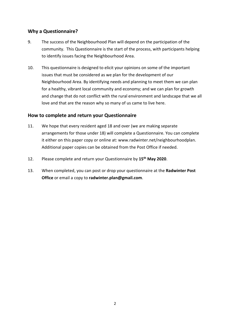# **Why a Questionnaire?**

- 9. The success of the Neighbourhood Plan will depend on the participation of the community. This Questionnaire is the start of the process, with participants helping to identify issues facing the Neighbourhood Area.
- 10. This questionnaire is designed to elicit your opinions on some of the important issues that must be considered as we plan for the development of our Neighbourhood Area. By identifying needs and planning to meet them we can plan for a healthy, vibrant local community and economy; and we can plan for growth and change that do not conflict with the rural environment and landscape that we all love and that are the reason why so many of us came to live here.

# **How to complete and return your Questionnaire**

- 11. We hope that every resident aged 18 and over (we are making separate arrangements for those under 18) will complete a Questionnaire. You can complete it either on this paper copy or online at: www.radwinter.net/neighbourhoodplan. Additional paper copies can be obtained from the Post Office if needed.
- 12. Please complete and return your Questionnaire by **15th May 2020**.
- 13. When completed, you can post or drop your questionnaire at the **Radwinter Post Office** or email a copy to **radwinter.plan@gmail.com**.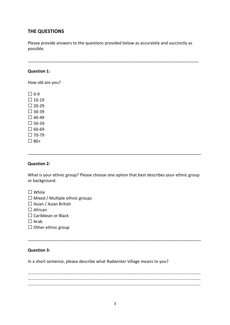# **THE QUESTIONS**

Please provide answers to the questions provided below as accurately and succinctly as possible.

\_\_\_\_\_\_\_\_\_\_\_\_\_\_\_\_\_\_\_\_\_\_\_\_\_\_\_\_\_\_\_\_\_\_\_\_\_\_\_\_\_\_\_\_\_\_\_\_\_\_\_\_\_\_\_\_\_\_\_\_\_\_\_\_\_\_\_\_\_\_\_\_\_\_

#### **Question 1:**

How old are you?

 $\Box$  0-9  $\square$  10-19  $\Box$  20-29  $\Box$  30-39  $\Box$  40-49  $\Box$  50-59  $\Box$  60-69  $\Box$  70-79  $\Box$  80+

#### **Question 2:**

What is your ethnic group? Please choose one option that best describes your ethnic group or background.

\_\_\_\_\_\_\_\_\_\_\_\_\_\_\_\_\_\_\_\_\_\_\_\_\_\_\_\_\_\_\_\_\_\_\_\_\_\_\_\_\_\_\_\_\_\_\_\_\_\_\_\_\_\_\_\_\_\_\_\_\_\_\_\_\_\_\_\_\_\_\_\_\_\_\_

 $\Box$  White

 $\Box$  Mixed / Multiple ethnic groups

 $\Box$  Asian / Asian British

 $\Box$  African

 $\square$  Caribbean or Black

 $\Box$  Arab

 $\Box$  Other ethnic group

#### **Question 3:**

In a short sentence, please describe what Radwinter Village means to you?

……………………………………………………………………………………………………………………………………………… ……………………………………………………………………………………………………………………………………………… ………………………………………………………………………………………………………………………………………………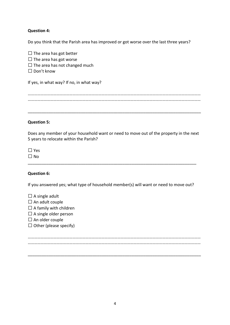### **Question 4:**

Do you think that the Parish area has improved or got worse over the last three years?

 $\Box$  The area has got better  $\Box$  The area has got worse  $\Box$  The area has not changed much  $\square$  Don't know If yes, in what way? If no, in what way? ……………………………………………………………………………………………………………………………………………… ……………………………………………………………………………………………………………………………………………… \_\_\_\_\_\_\_\_\_\_\_\_\_\_\_\_\_\_\_\_\_\_\_\_\_\_\_\_\_\_\_\_\_\_\_\_\_\_\_\_\_\_\_\_\_\_\_\_\_\_\_\_\_\_\_\_\_\_\_\_\_\_\_\_\_\_\_\_\_\_\_\_\_\_\_

#### **Question 5:**

Does any member of your household want or need to move out of the property in the next 5 years to relocate within the Parish?

 $\Box$  Yes

 $\Box$  No

# **Question 6:**

If you answered yes; what type of household member(s) will want or need to move out?

\_\_\_\_\_\_\_\_\_\_\_\_\_\_\_\_\_\_\_\_\_\_\_\_\_\_\_\_\_\_\_\_\_\_\_\_\_\_\_\_\_\_\_\_\_\_\_\_\_\_\_\_\_\_\_\_\_\_\_\_\_\_\_\_\_\_\_\_\_\_\_\_\_

 $\Box$  A single adult  $\square$  An adult couple  $\Box$  A family with children  $\Box$  A single older person  $\square$  An older couple  $\Box$  Other (please specify) ……………………………………………………………………………………………………………………………………………… ………………………………………………………………………………………………………………………………………………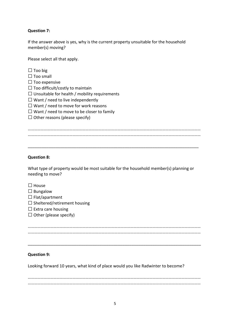## **Question 7:**

If the answer above is yes, why is the current property unsuitable for the household member(s) moving?

Please select all that apply.

| Too big |  |
|---------|--|
|---------|--|

- $\Box$  Too small
- $\Box$  Too expensive
- $\Box$  Too difficult/costly to maintain
- $\square$  Unsuitable for health / mobility requirements
- $\Box$  Want / need to live independently
- $\Box$  Want / need to move for work reasons
- $\Box$  Want / need to move to be closer to family
- $\Box$  Other reasons (please specify)

……………………………………………………………………………………………………………………………………………… ………………………………………………………………………………………………………………………………………………

\_\_\_\_\_\_\_\_\_\_\_\_\_\_\_\_\_\_\_\_\_\_\_\_\_\_\_\_\_\_\_\_\_\_\_\_\_\_\_\_\_\_\_\_\_\_\_\_\_\_\_\_\_\_\_\_\_\_\_\_\_\_\_\_\_\_\_\_\_\_\_\_\_\_

### **Question 8:**

What type of property would be most suitable for the household member(s) planning or needing to move?

- $\Box$  House
- $\square$  Bungalow
- $\Box$  Flat/apartment
- $\square$  Sheltered/retirement housing
- $\square$  Extra care housing
- $\Box$  Other (please specify)

……………………………………………………………………………………………………………………………………………… ………………………………………………………………………………………………………………………………………………

\_\_\_\_\_\_\_\_\_\_\_\_\_\_\_\_\_\_\_\_\_\_\_\_\_\_\_\_\_\_\_\_\_\_\_\_\_\_\_\_\_\_\_\_\_\_\_\_\_\_\_\_\_\_\_\_\_\_\_\_\_\_\_\_\_\_\_\_\_\_\_\_\_\_\_

# **Question 9:**

Looking forward 10 years, what kind of place would you like Radwinter to become?

……………………………………………………………………………………………………………………………………………… ………………………………………………………………………………………………………………………………………………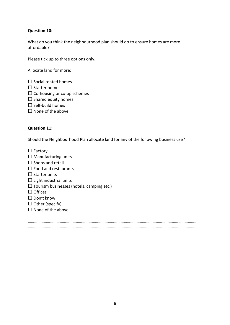## **Question 10:**

What do you think the neighbourhood plan should do to ensure homes are more affordable?

Please tick up to three options only.

Allocate land for more:

 $\square$  Social rented homes

 $\square$  Starter homes

 $\square$  Co-housing or co-op schemes

- $\square$  Shared equity homes
- $\square$  Self-build homes
- $\Box$  None of the above

### **Question 11:**

Should the Neighbourhood Plan allocate land for any of the following business use?

\_\_\_\_\_\_\_\_\_\_\_\_\_\_\_\_\_\_\_\_\_\_\_\_\_\_\_\_\_\_\_\_\_\_\_\_\_\_\_\_\_\_\_\_\_\_\_\_\_\_\_\_\_\_\_\_\_\_\_\_\_\_\_\_\_\_\_\_\_\_\_\_\_\_\_

| $\Box$ Factory                                   |
|--------------------------------------------------|
| $\Box$ Manufacturing units                       |
| $\Box$ Shops and retail                          |
| LL Food and restaurants                          |
| $\Box$ Starter units                             |
| $\Box$ Light industrial units                    |
| $\Box$ Tourism businesses (hotels, camping etc.) |
| L LOffices                                       |
| $\Box$ Don't know                                |
| $\Box$ Other (specify)                           |
| $\Box$ None of the above                         |
|                                                  |
|                                                  |

……………………………………………………………………………………………………………………………………………… ………………………………………………………………………………………………………………………………………………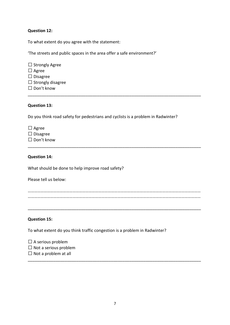### **Question 12:**

To what extent do you agree with the statement:

'The streets and public spaces in the area offer a safe environment?'

 $\square$  Strongly Agree  $\Box$  Agree  $\square$  Disagree  $\Box$  Strongly disagree □ Don't know

#### **Question 13:**

Do you think road safety for pedestrians and cyclists is a problem in Radwinter?

\_\_\_\_\_\_\_\_\_\_\_\_\_\_\_\_\_\_\_\_\_\_\_\_\_\_\_\_\_\_\_\_\_\_\_\_\_\_\_\_\_\_\_\_\_\_\_\_\_\_\_\_\_\_\_\_\_\_\_\_\_\_\_\_\_\_\_\_\_\_\_\_\_\_\_

| $\Box$ Agree      |
|-------------------|
| $\Box$ Disagree   |
| $\Box$ Don't know |

#### **Question 14:**

What should be done to help improve road safety?

Please tell us below:

……………………………………………………………………………………………………………………………………………… ………………………………………………………………………………………………………………………………………………

\_\_\_\_\_\_\_\_\_\_\_\_\_\_\_\_\_\_\_\_\_\_\_\_\_\_\_\_\_\_\_\_\_\_\_\_\_\_\_\_\_\_\_\_\_\_\_\_\_\_\_\_\_\_\_\_\_\_\_\_\_\_\_\_\_\_\_\_\_\_\_\_\_\_\_

\_\_\_\_\_\_\_\_\_\_\_\_\_\_\_\_\_\_\_\_\_\_\_\_\_\_\_\_\_\_\_\_\_\_\_\_\_\_\_\_\_\_\_\_\_\_\_\_\_\_\_\_\_\_\_\_\_\_\_\_\_\_\_\_\_\_\_\_\_\_\_\_\_\_\_

#### **Question 15:**

To what extent do you think traffic congestion is a problem in Radwinter?

| $\Box$ A serious problem     |
|------------------------------|
| $\Box$ Not a serious problem |
| $\Box$ Not a problem at all  |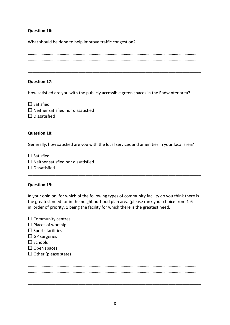### **Question 16:**

What should be done to help improve traffic congestion?

\_\_\_\_\_\_\_\_\_\_\_\_\_\_\_\_\_\_\_\_\_\_\_\_\_\_\_\_\_\_\_\_\_\_\_\_\_\_\_\_\_\_\_\_\_\_\_\_\_\_\_\_\_\_\_\_\_\_\_\_\_\_\_\_\_\_\_\_\_\_\_\_\_\_\_

### **Question 17:**

How satisfied are you with the publicly accessible green spaces in the Radwinter area?

 $\Box$  Satisfied  $\Box$  Neither satisfied nor dissatisfied

 $\square$  Dissatisfied \_\_\_\_\_\_\_\_\_\_\_\_\_\_\_\_\_\_\_\_\_\_\_\_\_\_\_\_\_\_\_\_\_\_\_\_\_\_\_\_\_\_\_\_\_\_\_\_\_\_\_\_\_\_\_\_\_\_\_\_\_\_\_\_\_\_\_\_\_\_\_\_\_\_\_

#### **Question 18:**

Generally, how satisfied are you with the local services and amenities in your local area?

 $\square$  Satisfied

- $\square$  Neither satisfied nor dissatisfied
- $\Box$  Dissatisfied

### **Question 19:**

In your opinion, for which of the following types of community facility do you think there is the greatest need for in the neighbourhood plan area (please rank your choice from 1-6 in order of priority, 1 being the facility for which there is the greatest need.

\_\_\_\_\_\_\_\_\_\_\_\_\_\_\_\_\_\_\_\_\_\_\_\_\_\_\_\_\_\_\_\_\_\_\_\_\_\_\_\_\_\_\_\_\_\_\_\_\_\_\_\_\_\_\_\_\_\_\_\_\_\_\_\_\_\_\_\_\_\_\_\_\_\_\_

| $\Box$ Community centres |  |
|--------------------------|--|
|--------------------------|--|

- $\Box$  Places of worship
- $\square$  Sports facilities
- $\Box$  GP surgeries
- $\Box$  Schools
- $\square$  Open spaces
- $\Box$  Other (please state)

……………………………………………………………………………………………………………………………………………… ………………………………………………………………………………………………………………………………………………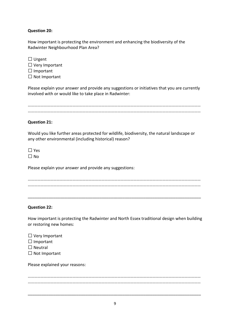# **Question 20:**

How important is protecting the environment and enhancing the biodiversity of the Radwinter Neighbourhood Plan Area?

| $\Box$ Urgent         |
|-----------------------|
| $\Box$ Very Important |
| $\Box$ Important      |
| $\Box$ Not Important  |

Please explain your answer and provide any suggestions or initiatives that you are currently involved with or would like to take place in Radwinter:

……………………………………………………………………………………………………………………………………………… ………………………………………………………………………………………………………………………………………………

### **Question 21:**

Would you like further areas protected for wildlife, biodiversity, the natural landscape or any other environmental (including historical) reason?

 $\Box$  Yes  $\Box$  No

Please explain your answer and provide any suggestions:

\_\_\_\_\_\_\_\_\_\_\_\_\_\_\_\_\_\_\_\_\_\_\_\_\_\_\_\_\_\_\_\_\_\_\_\_\_\_\_\_\_\_\_\_\_\_\_\_\_\_\_\_\_\_\_\_\_\_\_\_\_\_\_\_\_\_\_\_\_\_\_\_\_\_\_

# **Question 22:**

How important is protecting the Radwinter and North Essex traditional design when building or restoring new homes:

| $\Box$ Very Important |
|-----------------------|
| $\Box$ Important      |
| $\Box$ Neutral        |
| $\Box$ Not Important  |

Please explained your reasons:

……………………………………………………………………………………………………………………………………………… ………………………………………………………………………………………………………………………………………………